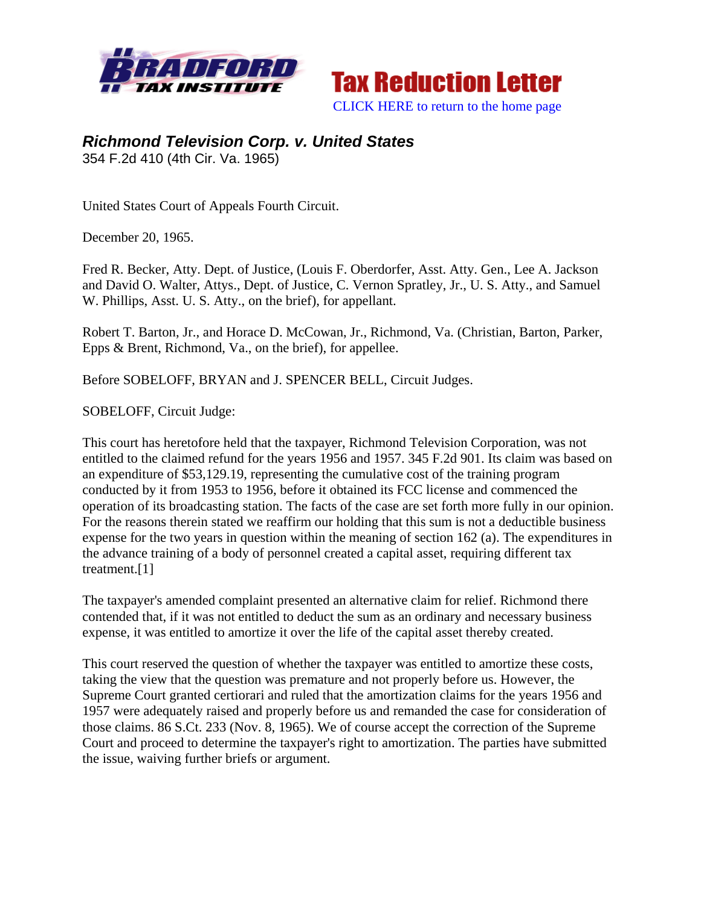



## *Richmond Television Corp. v. United States*

354 F.2d 410 (4th Cir. Va. 1965)

United States Court of Appeals Fourth Circuit.

December 20, 1965.

Fred R. Becker, Atty. Dept. of Justice, (Louis F. Oberdorfer, Asst. Atty. Gen., Lee A. Jackson and David O. Walter, Attys., Dept. of Justice, C. Vernon Spratley, Jr., U. S. Atty., and Samuel W. Phillips, Asst. U. S. Atty., on the brief), for appellant.

Robert T. Barton, Jr., and Horace D. McCowan, Jr., Richmond, Va. (Christian, Barton, Parker, Epps & Brent, Richmond, Va., on the brief), for appellee.

Before SOBELOFF, BRYAN and J. SPENCER BELL, Circuit Judges.

SOBELOFF, Circuit Judge:

This court has heretofore held that the taxpayer, Richmond Television Corporation, was not entitled to the claimed refund for the years 1956 and 1957. 345 F.2d 901. Its claim was based on an expenditure of \$53,129.19, representing the cumulative cost of the training program conducted by it from 1953 to 1956, before it obtained its FCC license and commenced the operation of its broadcasting station. The facts of the case are set forth more fully in our opinion. For the reasons therein stated we reaffirm our holding that this sum is not a deductible business expense for the two years in question within the meaning of section 162 (a). The expenditures in the advance training of a body of personnel created a capital asset, requiring different tax treatment.[1]

The taxpayer's amended complaint presented an alternative claim for relief. Richmond there contended that, if it was not entitled to deduct the sum as an ordinary and necessary business expense, it was entitled to amortize it over the life of the capital asset thereby created.

This court reserved the question of whether the taxpayer was entitled to amortize these costs, taking the view that the question was premature and not properly before us. However, the Supreme Court granted certiorari and ruled that the amortization claims for the years 1956 and 1957 were adequately raised and properly before us and remanded the case for consideration of those claims. 86 S.Ct. 233 (Nov. 8, 1965). We of course accept the correction of the Supreme Court and proceed to determine the taxpayer's right to amortization. The parties have submitted the issue, waiving further briefs or argument.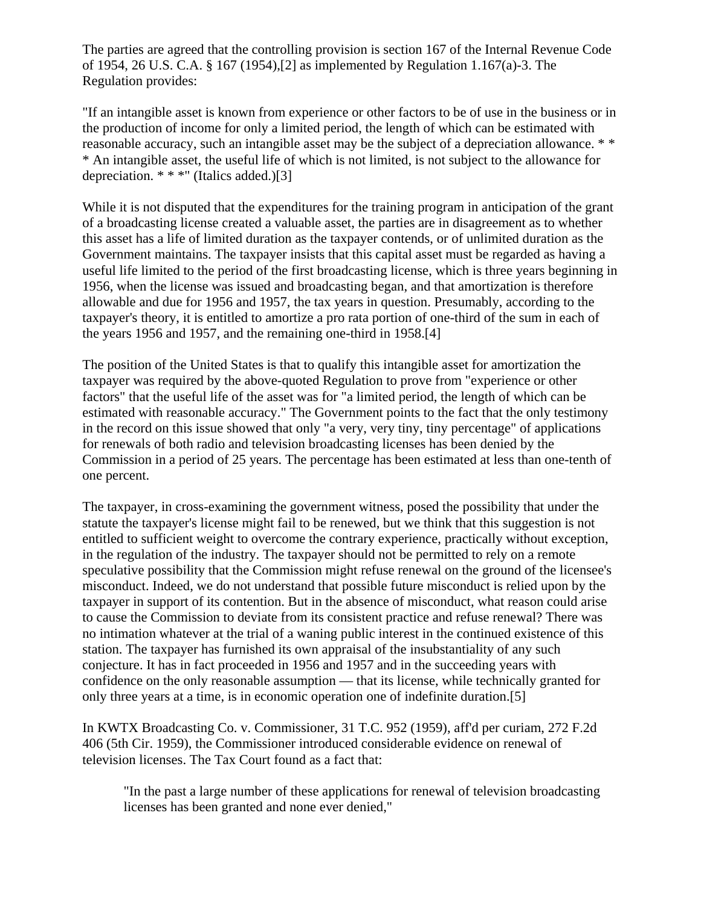The parties are agreed that the controlling provision is section 167 of the Internal Revenue Code of 1954, 26 U.S. C.A. § 167 (1954),[2] as implemented by Regulation 1.167(a)-3. The Regulation provides:

"If an intangible asset is known from experience or other factors to be of use in the business or in the production of income for only a limited period, the length of which can be estimated with reasonable accuracy, such an intangible asset may be the subject of a depreciation allowance. \* \* \* An intangible asset, the useful life of which is not limited, is not subject to the allowance for depreciation. \* \* \*" (Italics added.)[3]

While it is not disputed that the expenditures for the training program in anticipation of the grant of a broadcasting license created a valuable asset, the parties are in disagreement as to whether this asset has a life of limited duration as the taxpayer contends, or of unlimited duration as the Government maintains. The taxpayer insists that this capital asset must be regarded as having a useful life limited to the period of the first broadcasting license, which is three years beginning in 1956, when the license was issued and broadcasting began, and that amortization is therefore allowable and due for 1956 and 1957, the tax years in question. Presumably, according to the taxpayer's theory, it is entitled to amortize a pro rata portion of one-third of the sum in each of the years 1956 and 1957, and the remaining one-third in 1958.[4]

The position of the United States is that to qualify this intangible asset for amortization the taxpayer was required by the above-quoted Regulation to prove from "experience or other factors" that the useful life of the asset was for "a limited period, the length of which can be estimated with reasonable accuracy." The Government points to the fact that the only testimony in the record on this issue showed that only "a very, very tiny, tiny percentage" of applications for renewals of both radio and television broadcasting licenses has been denied by the Commission in a period of 25 years. The percentage has been estimated at less than one-tenth of one percent.

The taxpayer, in cross-examining the government witness, posed the possibility that under the statute the taxpayer's license might fail to be renewed, but we think that this suggestion is not entitled to sufficient weight to overcome the contrary experience, practically without exception, in the regulation of the industry. The taxpayer should not be permitted to rely on a remote speculative possibility that the Commission might refuse renewal on the ground of the licensee's misconduct. Indeed, we do not understand that possible future misconduct is relied upon by the taxpayer in support of its contention. But in the absence of misconduct, what reason could arise to cause the Commission to deviate from its consistent practice and refuse renewal? There was no intimation whatever at the trial of a waning public interest in the continued existence of this station. The taxpayer has furnished its own appraisal of the insubstantiality of any such conjecture. It has in fact proceeded in 1956 and 1957 and in the succeeding years with confidence on the only reasonable assumption — that its license, while technically granted for only three years at a time, is in economic operation one of indefinite duration.[5]

In KWTX Broadcasting Co. v. Commissioner, 31 T.C. 952 (1959), aff'd per curiam, 272 F.2d 406 (5th Cir. 1959), the Commissioner introduced considerable evidence on renewal of television licenses. The Tax Court found as a fact that:

"In the past a large number of these applications for renewal of television broadcasting licenses has been granted and none ever denied,"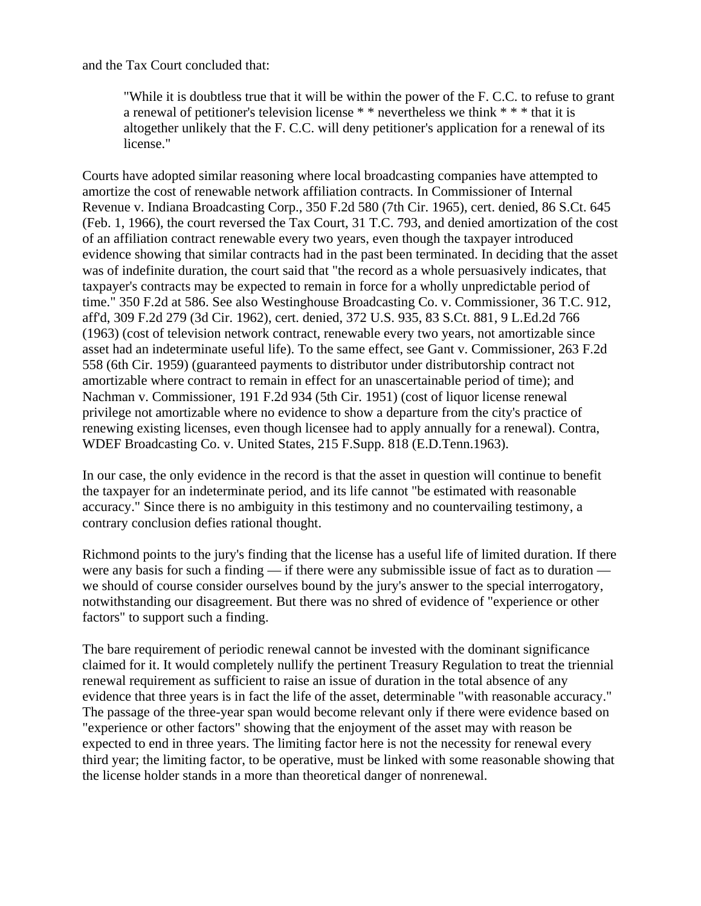and the Tax Court concluded that:

"While it is doubtless true that it will be within the power of the F. C.C. to refuse to grant a renewal of petitioner's television license \* \* nevertheless we think \* \* \* that it is altogether unlikely that the F. C.C. will deny petitioner's application for a renewal of its license."

Courts have adopted similar reasoning where local broadcasting companies have attempted to amortize the cost of renewable network affiliation contracts. In Commissioner of Internal Revenue v. Indiana Broadcasting Corp., 350 F.2d 580 (7th Cir. 1965), cert. denied, 86 S.Ct. 645 (Feb. 1, 1966), the court reversed the Tax Court, 31 T.C. 793, and denied amortization of the cost of an affiliation contract renewable every two years, even though the taxpayer introduced evidence showing that similar contracts had in the past been terminated. In deciding that the asset was of indefinite duration, the court said that "the record as a whole persuasively indicates, that taxpayer's contracts may be expected to remain in force for a wholly unpredictable period of time." 350 F.2d at 586. See also Westinghouse Broadcasting Co. v. Commissioner, 36 T.C. 912, aff'd, 309 F.2d 279 (3d Cir. 1962), cert. denied, 372 U.S. 935, 83 S.Ct. 881, 9 L.Ed.2d 766 (1963) (cost of television network contract, renewable every two years, not amortizable since asset had an indeterminate useful life). To the same effect, see Gant v. Commissioner, 263 F.2d 558 (6th Cir. 1959) (guaranteed payments to distributor under distributorship contract not amortizable where contract to remain in effect for an unascertainable period of time); and Nachman v. Commissioner, 191 F.2d 934 (5th Cir. 1951) (cost of liquor license renewal privilege not amortizable where no evidence to show a departure from the city's practice of renewing existing licenses, even though licensee had to apply annually for a renewal). Contra, WDEF Broadcasting Co. v. United States, 215 F.Supp. 818 (E.D.Tenn.1963).

In our case, the only evidence in the record is that the asset in question will continue to benefit the taxpayer for an indeterminate period, and its life cannot "be estimated with reasonable accuracy." Since there is no ambiguity in this testimony and no countervailing testimony, a contrary conclusion defies rational thought.

Richmond points to the jury's finding that the license has a useful life of limited duration. If there were any basis for such a finding — if there were any submissible issue of fact as to duration we should of course consider ourselves bound by the jury's answer to the special interrogatory, notwithstanding our disagreement. But there was no shred of evidence of "experience or other factors" to support such a finding.

The bare requirement of periodic renewal cannot be invested with the dominant significance claimed for it. It would completely nullify the pertinent Treasury Regulation to treat the triennial renewal requirement as sufficient to raise an issue of duration in the total absence of any evidence that three years is in fact the life of the asset, determinable "with reasonable accuracy." The passage of the three-year span would become relevant only if there were evidence based on "experience or other factors" showing that the enjoyment of the asset may with reason be expected to end in three years. The limiting factor here is not the necessity for renewal every third year; the limiting factor, to be operative, must be linked with some reasonable showing that the license holder stands in a more than theoretical danger of nonrenewal.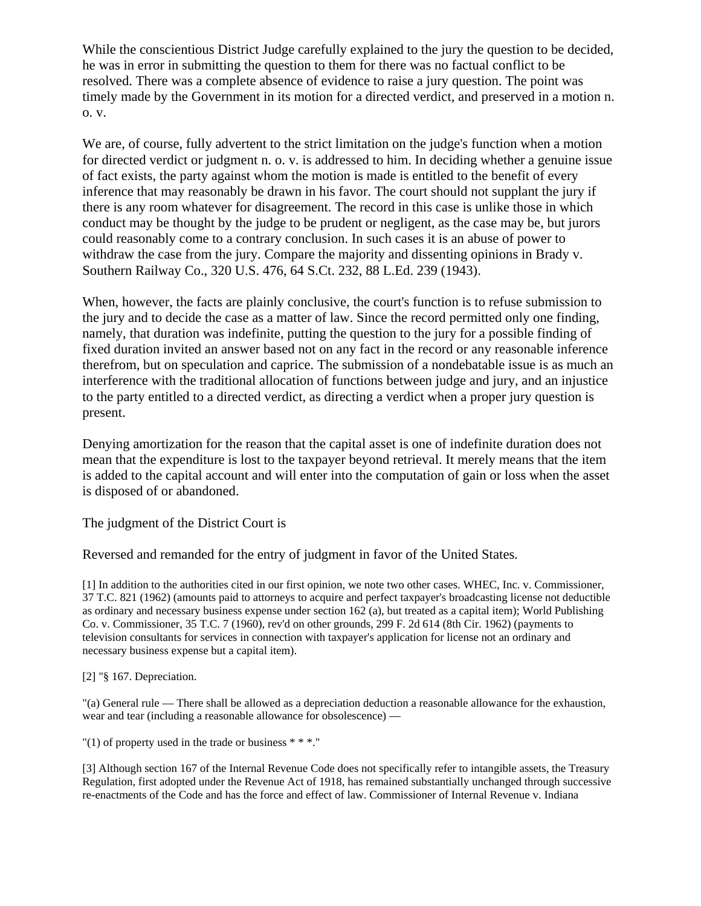While the conscientious District Judge carefully explained to the jury the question to be decided, he was in error in submitting the question to them for there was no factual conflict to be resolved. There was a complete absence of evidence to raise a jury question. The point was timely made by the Government in its motion for a directed verdict, and preserved in a motion n. o. v.

We are, of course, fully advertent to the strict limitation on the judge's function when a motion for directed verdict or judgment n. o. v. is addressed to him. In deciding whether a genuine issue of fact exists, the party against whom the motion is made is entitled to the benefit of every inference that may reasonably be drawn in his favor. The court should not supplant the jury if there is any room whatever for disagreement. The record in this case is unlike those in which conduct may be thought by the judge to be prudent or negligent, as the case may be, but jurors could reasonably come to a contrary conclusion. In such cases it is an abuse of power to withdraw the case from the jury. Compare the majority and dissenting opinions in Brady v. Southern Railway Co., 320 U.S. 476, 64 S.Ct. 232, 88 L.Ed. 239 (1943).

When, however, the facts are plainly conclusive, the court's function is to refuse submission to the jury and to decide the case as a matter of law. Since the record permitted only one finding, namely, that duration was indefinite, putting the question to the jury for a possible finding of fixed duration invited an answer based not on any fact in the record or any reasonable inference therefrom, but on speculation and caprice. The submission of a nondebatable issue is as much an interference with the traditional allocation of functions between judge and jury, and an injustice to the party entitled to a directed verdict, as directing a verdict when a proper jury question is present.

Denying amortization for the reason that the capital asset is one of indefinite duration does not mean that the expenditure is lost to the taxpayer beyond retrieval. It merely means that the item is added to the capital account and will enter into the computation of gain or loss when the asset is disposed of or abandoned.

The judgment of the District Court is

Reversed and remanded for the entry of judgment in favor of the United States.

[1] In addition to the authorities cited in our first opinion, we note two other cases. WHEC, Inc. v. Commissioner, 37 T.C. 821 (1962) (amounts paid to attorneys to acquire and perfect taxpayer's broadcasting license not deductible as ordinary and necessary business expense under section 162 (a), but treated as a capital item); World Publishing Co. v. Commissioner, 35 T.C. 7 (1960), rev'd on other grounds, 299 F. 2d 614 (8th Cir. 1962) (payments to television consultants for services in connection with taxpayer's application for license not an ordinary and necessary business expense but a capital item).

[2] "§ 167. Depreciation.

"(a) General rule — There shall be allowed as a depreciation deduction a reasonable allowance for the exhaustion, wear and tear (including a reasonable allowance for obsolescence) —

"(1) of property used in the trade or business  $***$ ."

[3] Although section 167 of the Internal Revenue Code does not specifically refer to intangible assets, the Treasury Regulation, first adopted under the Revenue Act of 1918, has remained substantially unchanged through successive re-enactments of the Code and has the force and effect of law. Commissioner of Internal Revenue v. Indiana